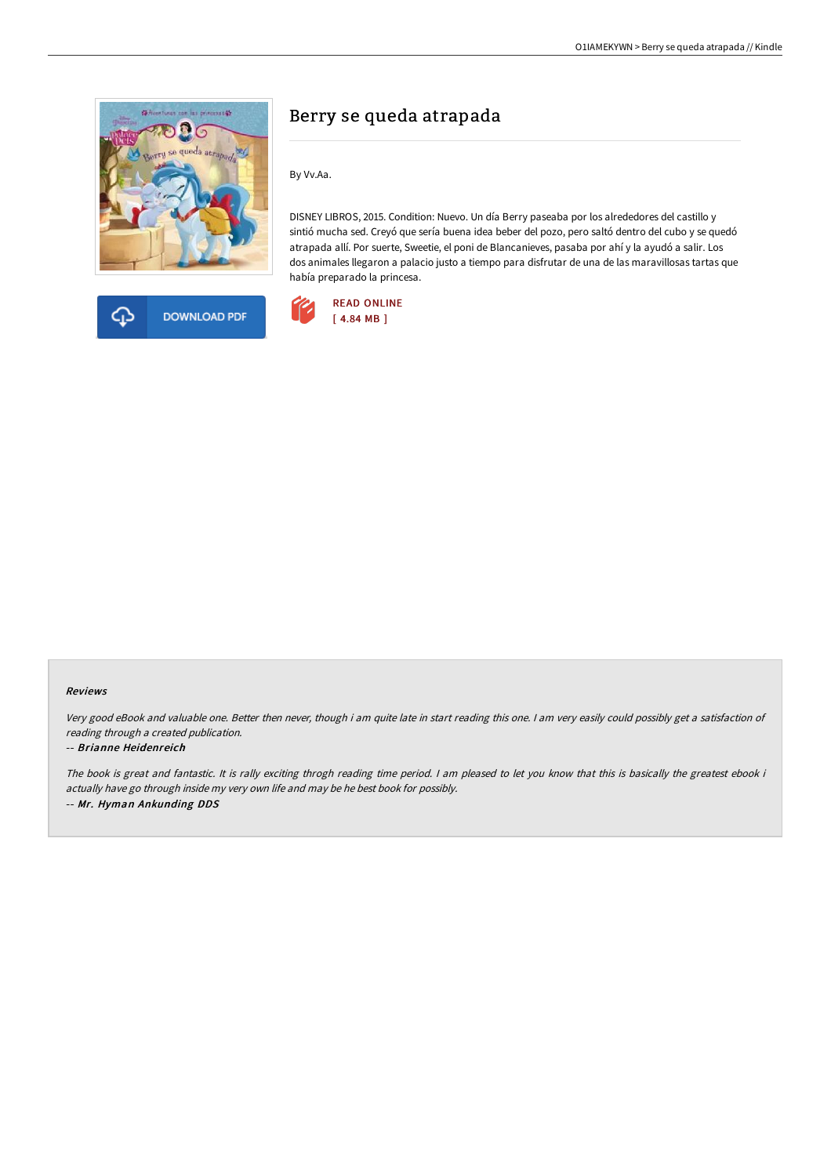



## Berry se queda atrapada

By Vv.Aa.

DISNEY LIBROS, 2015. Condition: Nuevo. Un día Berry paseaba por los alrededores del castillo y sintió mucha sed. Creyó que sería buena idea beber del pozo, pero saltó dentro del cubo y se quedó atrapada allí. Por suerte, Sweetie, el poni de Blancanieves, pasaba por ahí y la ayudó a salir. Los dos animales llegaron a palacio justo a tiempo para disfrutar de una de las maravillosas tartas que había preparado la princesa.



## Reviews

Very good eBook and valuable one. Better then never, though i am quite late in start reading this one. <sup>I</sup> am very easily could possibly get <sup>a</sup> satisfaction of reading through <sup>a</sup> created publication.

## -- Brianne Heidenreich

The book is great and fantastic. It is rally exciting throgh reading time period. I am pleased to let you know that this is basically the greatest ebook i actually have go through inside my very own life and may be he best book for possibly. -- Mr. Hyman Ankunding DDS